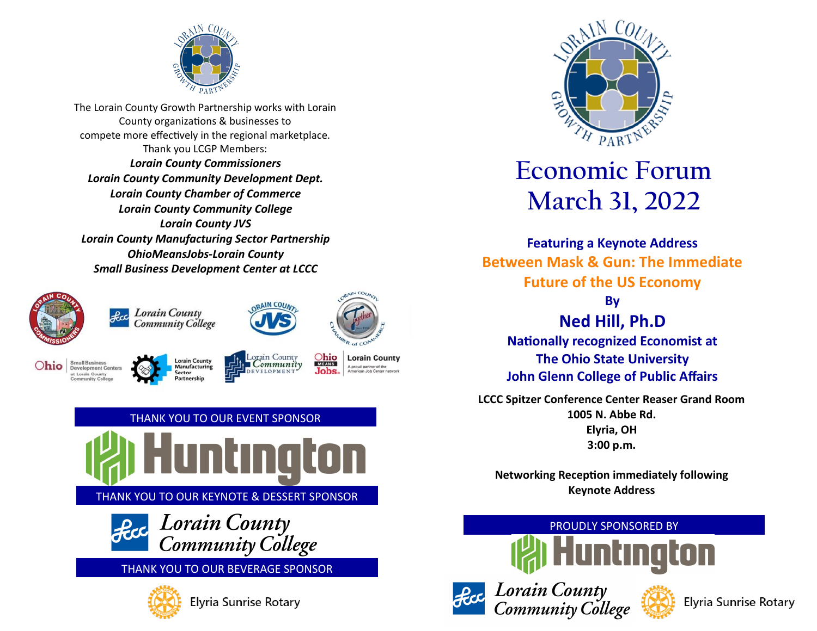

The Lorain County Growth Partnership works with Lorain County organizations & businesses to compete more effectively in the regional marketplace. Thank you LCGP Members: *Lorain County Commissioners Lorain County Community Development Dept. Lorain County Chamber of Commerce Lorain County Community College Lorain County JVS Lorain County Manufacturing Sector Partnership OhioMeansJobs-Lorain County Small Business Development Center at LCCC*







 $Ohio <sub>MEANS</sub>$ **Lorain County** A proud partner of the<br>American Job Center n Jobs.

 $MCO$ 





# **Economic Forum March 31, 2022**

**Featuring a Keynote Address Between Mask & Gun: The Immediate Future of the US Economy By**

**Ned Hill, Ph.D Nationally recognized Economist at The Ohio State University John Glenn College of Public Affairs**

**LCCC Spitzer Conference Center Reaser Grand Room 1005 N. Abbe Rd. Elyria, OH 3:00 p.m.** 

**Networking Reception immediately following Keynote Address**